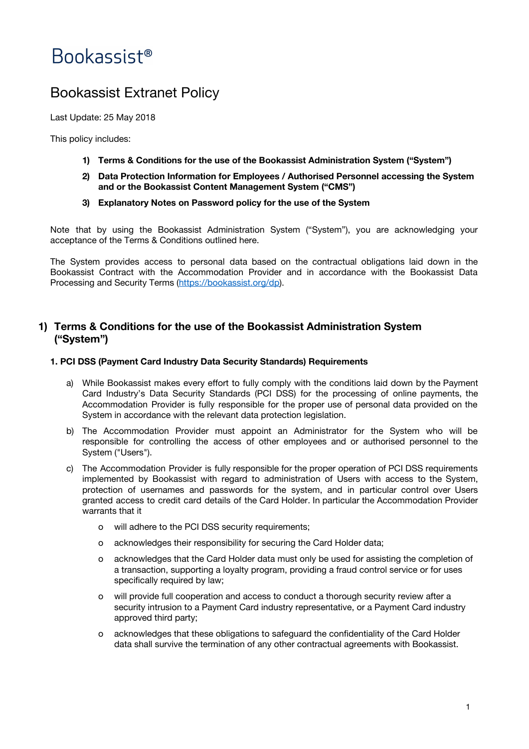# Bookassist<sup>®</sup>

# Bookassist Extranet Policy

Last Update: 25 May 2018

This policy includes:

- **1) Terms & Conditions for the use of the Bookassist Administration System ("System")**
- **2) Data Protection Information for Employees / Authorised Personnel accessing the System and or the Bookassist Content Management System ("CMS")**
- **3) Explanatory Notes on Password policy for the use of the System**

Note that by using the Bookassist Administration System ("System"), you are acknowledging your acceptance of the Terms & Conditions outlined here.

The System provides access to personal data based on the contractual obligations laid down in the Bookassist Contract with the Accommodation Provider and in accordance with the Bookassist Data Processing and Security Terms (<https://bookassist.org/dp>).

# **1) Terms & Conditions for the use of the Bookassist Administration System ("System")**

# **1. PCI DSS (Payment Card Industry Data Security Standards) Requirements**

- a) While Bookassist makes every effort to fully comply with the conditions laid down by the Payment Card Industry's Data Security Standards (PCI DSS) for the processing of online payments, the Accommodation Provider is fully responsible for the proper use of personal data provided on the System in accordance with the relevant data protection legislation.
- b) The Accommodation Provider must appoint an Administrator for the System who will be responsible for controlling the access of other employees and or authorised personnel to the System ("Users").
- c) The Accommodation Provider is fully responsible for the proper operation of PCI DSS requirements implemented by Bookassist with regard to administration of Users with access to the System, protection of usernames and passwords for the system, and in particular control over Users granted access to credit card details of the Card Holder. In particular the Accommodation Provider warrants that it
	- o will adhere to the PCI DSS security requirements;
	- o acknowledges their responsibility for securing the Card Holder data;
	- o acknowledges that the Card Holder data must only be used for assisting the completion of a transaction, supporting a loyalty program, providing a fraud control service or for uses specifically required by law;
	- o will provide full cooperation and access to conduct a thorough security review after a security intrusion to a Payment Card industry representative, or a Payment Card industry approved third party;
	- o acknowledges that these obligations to safeguard the confidentiality of the Card Holder data shall survive the termination of any other contractual agreements with Bookassist.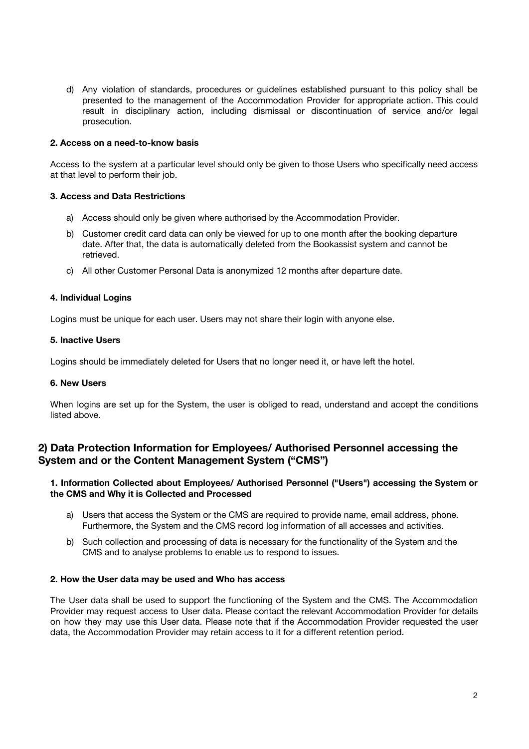d) Any violation of standards, procedures or guidelines established pursuant to this policy shall be presented to the management of the Accommodation Provider for appropriate action. This could result in disciplinary action, including dismissal or discontinuation of service and/or legal prosecution.

# **2. Access on a need-to-know basis**

Access to the system at a particular level should only be given to those Users who specifically need access at that level to perform their job.

# **3. Access and Data Restrictions**

- a) Access should only be given where authorised by the Accommodation Provider.
- b) Customer credit card data can only be viewed for up to one month after the booking departure date. After that, the data is automatically deleted from the Bookassist system and cannot be retrieved.
- c) All other Customer Personal Data is anonymized 12 months after departure date.

# **4. Individual Logins**

Logins must be unique for each user. Users may not share their login with anyone else.

# **5. Inactive Users**

Logins should be immediately deleted for Users that no longer need it, or have left the hotel.

# **6. New Users**

When logins are set up for the System, the user is obliged to read, understand and accept the conditions listed above.

# **2) Data Protection Information for Employees/ Authorised Personnel accessing the System and or the Content Management System ("CMS")**

# **1. Information Collected about Employees/ Authorised Personnel ("Users") accessing the System or the CMS and Why it is Collected and Processed**

- a) Users that access the System or the CMS are required to provide name, email address, phone. Furthermore, the System and the CMS record log information of all accesses and activities.
- b) Such collection and processing of data is necessary for the functionality of the System and the CMS and to analyse problems to enable us to respond to issues.

#### **2. How the User data may be used and Who has access**

The User data shall be used to support the functioning of the System and the CMS. The Accommodation Provider may request access to User data. Please contact the relevant Accommodation Provider for details on how they may use this User data. Please note that if the Accommodation Provider requested the user data, the Accommodation Provider may retain access to it for a different retention period.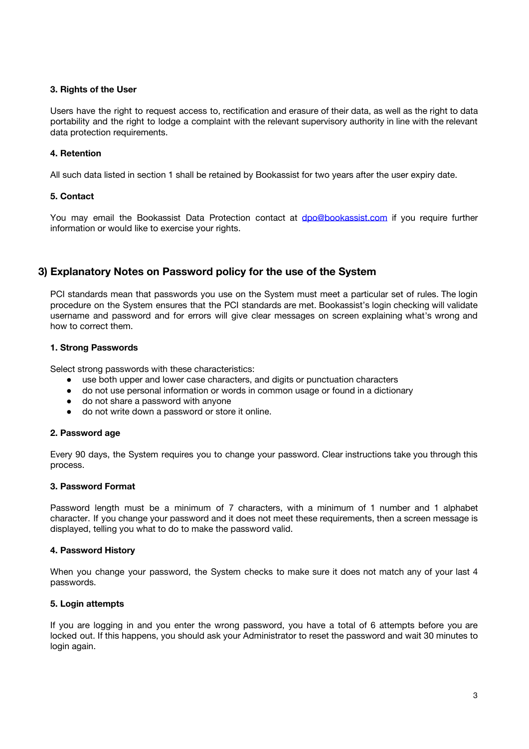# **3. Rights of the User**

Users have the right to request access to, rectification and erasure of their data, as well as the right to data portability and the right to lodge a complaint with the relevant supervisory authority in line with the relevant data protection requirements.

# **4. Retention**

All such data listed in section 1 shall be retained by Bookassist for two years after the user expiry date.

# **5. Contact**

You may email the Bookassist Data Protection contact at **[dpo@bookassist.com](mailto:dpo@bookassist.com)** if you require further information or would like to exercise your rights.

# **3) Explanatory Notes on Password policy for the use of the System**

PCI standards mean that passwords you use on the System must meet a particular set of rules. The login procedure on the System ensures that the PCI standards are met. Bookassist's login checking will validate username and password and for errors will give clear messages on screen explaining what's wrong and how to correct them.

# **1. Strong Passwords**

Select strong passwords with these characteristics:

- use both upper and lower case characters, and digits or punctuation characters
- do not use personal information or words in common usage or found in a dictionary
- do not share a password with anyone
- do not write down a password or store it online.

# **2. Password age**

Every 90 days, the System requires you to change your password. Clear instructions take you through this process.

# **3. Password Format**

Password length must be a minimum of 7 characters, with a minimum of 1 number and 1 alphabet character. If you change your password and it does not meet these requirements, then a screen message is displayed, telling you what to do to make the password valid.

# **4. Password History**

When you change your password, the System checks to make sure it does not match any of your last 4 passwords.

# **5. Login attempts**

If you are logging in and you enter the wrong password, you have a total of 6 attempts before you are locked out. If this happens, you should ask your Administrator to reset the password and wait 30 minutes to login again.